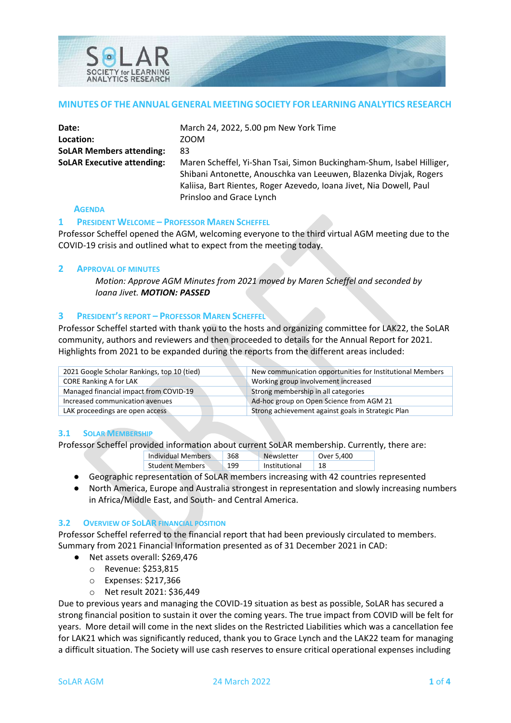

#### **MINUTES OF THE ANNUAL GENERAL MEETING SOCIETY FOR LEARNING ANALYTICS RESEARCH**

| Date:                             | March 24, 2022, 5.00 pm New York Time                                                                                                                                                                                                         |
|-----------------------------------|-----------------------------------------------------------------------------------------------------------------------------------------------------------------------------------------------------------------------------------------------|
| Location:                         | ZOOM                                                                                                                                                                                                                                          |
| <b>SoLAR Members attending:</b>   | 83                                                                                                                                                                                                                                            |
| <b>SoLAR Executive attending:</b> | Maren Scheffel, Yi-Shan Tsai, Simon Buckingham-Shum, Isabel Hilliger,<br>Shibani Antonette, Anouschka van Leeuwen, Blazenka Divjak, Rogers<br>Kaliisa, Bart Rientes, Roger Azevedo, Ioana Jivet, Nia Dowell, Paul<br>Prinsloo and Grace Lynch |

#### **AGENDA**

#### **1 PRESIDENT WELCOME – PROFESSOR MAREN SCHEFFEL**

Professor Scheffel opened the AGM, welcoming everyone to the third virtual AGM meeting due to the COVID-19 crisis and outlined what to expect from the meeting today.

#### **2 APPROVAL OF MINUTES**

*Motion: Approve AGM Minutes from 2021 moved by Maren Scheffel and seconded by Ioana Jivet. MOTION: PASSED*

#### **3 PRESIDENT'S REPORT – PROFESSOR MAREN SCHEFFEL**

Professor Scheffel started with thank you to the hosts and organizing committee for LAK22, the SoLAR community, authors and reviewers and then proceeded to details for the Annual Report for 2021. Highlights from 2021 to be expanded during the reports from the different areas included:

| 2021 Google Scholar Rankings, top 10 (tied) | New communication opportunities for Institutional Members |  |
|---------------------------------------------|-----------------------------------------------------------|--|
| CORE Ranking A for LAK                      | Working group involvement increased                       |  |
| Managed financial impact from COVID-19      | Strong membership in all categories                       |  |
| Increased communication avenues             | Ad-hoc group on Open Science from AGM 21                  |  |
| LAK proceedings are open access             | Strong achievement against goals in Strategic Plan        |  |

#### **3.1 SOLAR MEMBERSHIP**

Professor Scheffel provided information about current SoLAR membership. Currently, there are:

| <b>Individual Members</b> | 368 | Newsletter    | Over 5,400 |
|---------------------------|-----|---------------|------------|
| <b>Student Members</b>    | 199 | Institutional |            |

- Geographic representation of SoLAR members increasing with 42 countries represented
- North America, Europe and Australia strongest in representation and slowly increasing numbers in Africa/Middle East, and South- and Central America.

#### **3.2 OVERVIEW OF SOLAR FINANCIAL POSITION**

Professor Scheffel referred to the financial report that had been previously circulated to members. Summary from 2021 Financial Information presented as of 31 December 2021 in CAD:

- Net assets overall: \$269,476
	- o Revenue: \$253,815
	- o Expenses: \$217,366
	- o Net result 2021: \$36,449

Due to previous years and managing the COVID-19 situation as best as possible, SoLAR has secured a strong financial position to sustain it over the coming years. The true impact from COVID will be felt for years. More detail will come in the next slides on the Restricted Liabilities which was a cancellation fee for LAK21 which was significantly reduced, thank you to Grace Lynch and the LAK22 team for managing a difficult situation. The Society will use cash reserves to ensure critical operational expenses including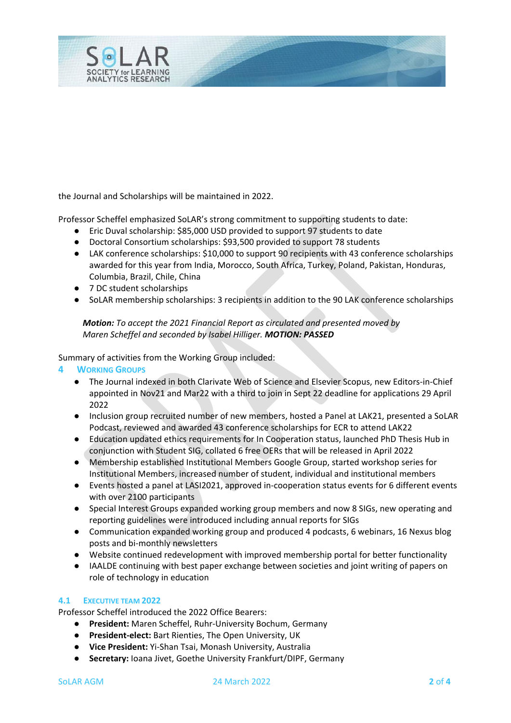

the Journal and Scholarships will be maintained in 2022.

Professor Scheffel emphasized SoLAR's strong commitment to supporting students to date:

- Eric Duval scholarship: \$85,000 USD provided to support 97 students to date
- Doctoral Consortium scholarships: \$93,500 provided to support 78 students
- LAK conference scholarships: \$10,000 to support 90 recipients with 43 conference scholarships awarded for this year from India, Morocco, South Africa, Turkey, Poland, Pakistan, Honduras, Columbia, Brazil, Chile, China
- 7 DC student scholarships
- SoLAR membership scholarships: 3 recipients in addition to the 90 LAK conference scholarships

# *Motion: To accept the 2021 Financial Report as circulated and presented moved by Maren Scheffel and seconded by Isabel Hilliger. MOTION: PASSED*

Summary of activities from the Working Group included:

#### **4 WORKING GROUPS**

- The Journal indexed in both Clarivate Web of Science and Elsevier Scopus, new Editors-in-Chief appointed in Nov21 and Mar22 with a third to join in Sept 22 deadline for applications 29 April 2022
- Inclusion group recruited number of new members, hosted a Panel at LAK21, presented a SoLAR Podcast, reviewed and awarded 43 conference scholarships for ECR to attend LAK22
- Education updated ethics requirements for In Cooperation status, launched PhD Thesis Hub in conjunction with Student SIG, collated 6 free OERs that will be released in April 2022
- Membership established Institutional Members Google Group, started workshop series for Institutional Members, increased number of student, individual and institutional members
- Events hosted a panel at LASI2021, approved in-cooperation status events for 6 different events with over 2100 participants
- Special Interest Groups expanded working group members and now 8 SIGs, new operating and reporting guidelines were introduced including annual reports for SIGs
- Communication expanded working group and produced 4 podcasts, 6 webinars, 16 Nexus blog posts and bi-monthly newsletters
- Website continued redevelopment with improved membership portal for better functionality
- IAALDE continuing with best paper exchange between societies and joint writing of papers on role of technology in education

# **4.1 EXECUTIVE TEAM 2022**

Professor Scheffel introduced the 2022 Office Bearers:

- **President:** Maren Scheffel, Ruhr-University Bochum, Germany
- **President-elect:** Bart Rienties, The Open University, UK
- **Vice President:** Yi-Shan Tsai, Monash University, Australia
- **Secretary:** Ioana Jivet, Goethe University Frankfurt/DIPF, Germany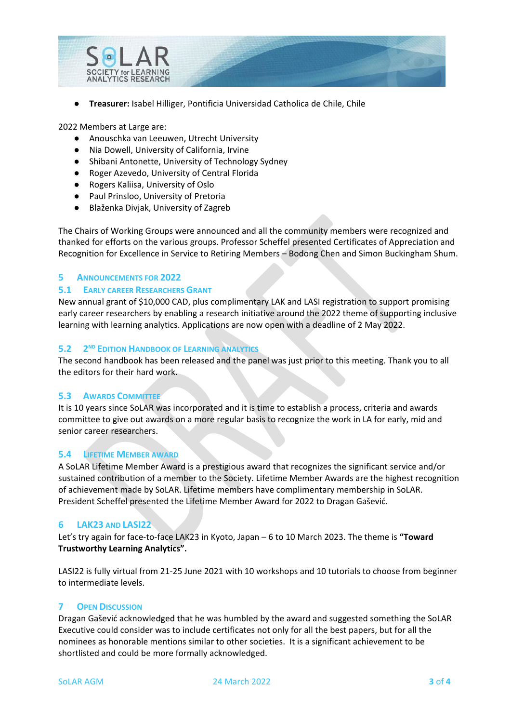

● **Treasurer:** Isabel Hilliger, Pontificia Universidad Catholica de Chile, Chile

2022 Members at Large are:

- Anouschka van Leeuwen, Utrecht University
- Nia Dowell, University of California, Irvine
- Shibani Antonette, University of Technology Sydney
- Roger Azevedo, University of Central Florida
- Rogers Kaliisa, University of Oslo
- Paul Prinsloo, University of Pretoria
- Blaženka Divjak, University of Zagreb

The Chairs of Working Groups were announced and all the community members were recognized and thanked for efforts on the various groups. Professor Scheffel presented Certificates of Appreciation and Recognition for Excellence in Service to Retiring Members – Bodong Chen and Simon Buckingham Shum.

# **5 ANNOUNCEMENTS FOR 2022**

# **5.1 EARLY CAREER RESEARCHERS GRANT**

New annual grant of \$10,000 CAD, plus complimentary LAK and LASI registration to support promising early career researchers by enabling a research initiative around the 2022 theme of supporting inclusive learning with learning analytics. Applications are now open with a deadline of 2 May 2022.

# **5.2 2ND EDITION HANDBOOK OF LEARNING ANALYTICS**

The second handbook has been released and the panel was just prior to this meeting. Thank you to all the editors for their hard work.

# **5.3 AWARDS COMMITTEE**

It is 10 years since SoLAR was incorporated and it is time to establish a process, criteria and awards committee to give out awards on a more regular basis to recognize the work in LA for early, mid and senior career researchers.

# **5.4 LIFETIME MEMBER AWARD**

A SoLAR Lifetime Member Award is a prestigious award that recognizes the significant service and/or sustained contribution of a member to the Society. Lifetime Member Awards are the highest recognition of achievement made by SoLAR. Lifetime members have complimentary membership in SoLAR. President Scheffel presented the Lifetime Member Award for 2022 to Dragan Gašević.

# **6 LAK23 AND LASI22**

Let's try again for face-to-face LAK23 in Kyoto, Japan – 6 to 10 March 2023. The theme is **"Toward Trustworthy Learning Analytics".** 

LASI22 is fully virtual from 21-25 June 2021 with 10 workshops and 10 tutorials to choose from beginner to intermediate levels.

# **7 OPEN DISCUSSION**

Dragan Gašević acknowledged that he was humbled by the award and suggested something the SoLAR Executive could consider was to include certificates not only for all the best papers, but for all the nominees as honorable mentions similar to other societies. It is a significant achievement to be shortlisted and could be more formally acknowledged.